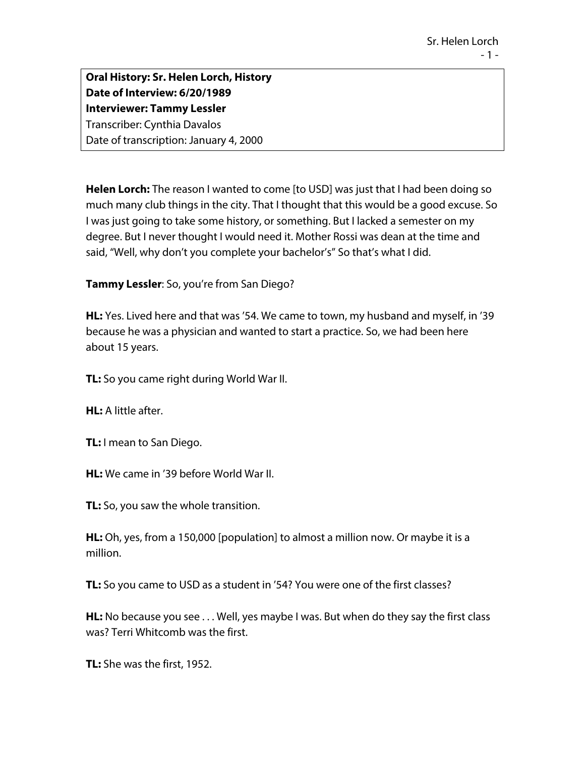**Oral History: Sr. Helen Lorch, History Date of Interview: 6/20/1989 Interviewer: Tammy Lessler** Transcriber: Cynthia Davalos Date of transcription: January 4, 2000

**Helen Lorch:** The reason I wanted to come [to USD] was just that I had been doing so much many club things in the city. That I thought that this would be a good excuse. So I was just going to take some history, or something. But I lacked a semester on my degree. But I never thought I would need it. Mother Rossi was dean at the time and said, "Well, why don't you complete your bachelor's" So that's what I did.

**Tammy Lessler**: So, you're from San Diego?

**HL:** Yes. Lived here and that was '54. We came to town, my husband and myself, in '39 because he was a physician and wanted to start a practice. So, we had been here about 15 years.

**TL:** So you came right during World War II.

**HL:** A little after.

**TL:** I mean to San Diego.

**HL:** We came in '39 before World War II.

**TL:** So, you saw the whole transition.

**HL:** Oh, yes, from a 150,000 [population] to almost a million now. Or maybe it is a million.

**TL:** So you came to USD as a student in '54? You were one of the first classes?

**HL:** No because you see . . . Well, yes maybe I was. But when do they say the first class was? Terri Whitcomb was the first.

**TL:** She was the first, 1952.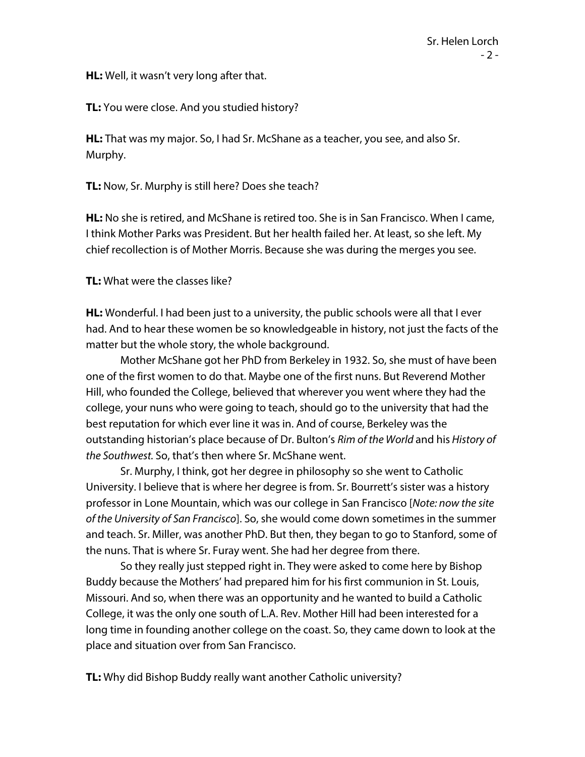**HL:** Well, it wasn't very long after that.

**TL:** You were close. And you studied history?

**HL:** That was my major. So, I had Sr. McShane as a teacher, you see, and also Sr. Murphy.

**TL:** Now, Sr. Murphy is still here? Does she teach?

**HL:** No she is retired, and McShane is retired too. She is in San Francisco. When I came, I think Mother Parks was President. But her health failed her. At least, so she left. My chief recollection is of Mother Morris. Because she was during the merges you see.

**TL:** What were the classes like?

**HL:** Wonderful. I had been just to a university, the public schools were all that I ever had. And to hear these women be so knowledgeable in history, not just the facts of the matter but the whole story, the whole background.

Mother McShane got her PhD from Berkeley in 1932. So, she must of have been one of the first women to do that. Maybe one of the first nuns. But Reverend Mother Hill, who founded the College, believed that wherever you went where they had the college, your nuns who were going to teach, should go to the university that had the best reputation for which ever line it was in. And of course, Berkeley was the outstanding historian's place because of Dr. Bulton's *Rim of the World* and his *History of the Southwest.* So, that's then where Sr. McShane went.

Sr. Murphy, I think, got her degree in philosophy so she went to Catholic University. I believe that is where her degree is from. Sr. Bourrett's sister was a history professor in Lone Mountain, which was our college in San Francisco [*Note: now the site of the University of San Francisco*]. So, she would come down sometimes in the summer and teach. Sr. Miller, was another PhD. But then, they began to go to Stanford, some of the nuns. That is where Sr. Furay went. She had her degree from there.

So they really just stepped right in. They were asked to come here by Bishop Buddy because the Mothers' had prepared him for his first communion in St. Louis, Missouri. And so, when there was an opportunity and he wanted to build a Catholic College, it was the only one south of L.A. Rev. Mother Hill had been interested for a long time in founding another college on the coast. So, they came down to look at the place and situation over from San Francisco.

**TL:** Why did Bishop Buddy really want another Catholic university?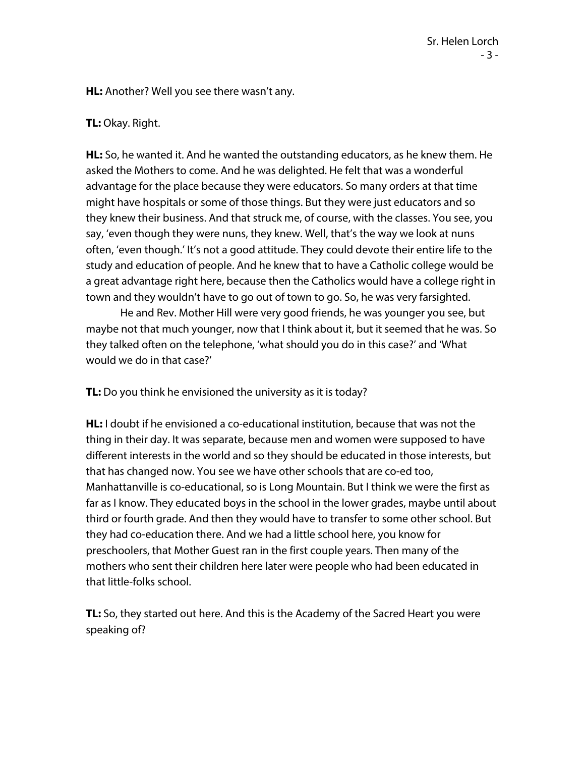**HL:** Another? Well you see there wasn't any.

## **TL:** Okay. Right.

**HL:** So, he wanted it. And he wanted the outstanding educators, as he knew them. He asked the Mothers to come. And he was delighted. He felt that was a wonderful advantage for the place because they were educators. So many orders at that time might have hospitals or some of those things. But they were just educators and so they knew their business. And that struck me, of course, with the classes. You see, you say, 'even though they were nuns, they knew. Well, that's the way we look at nuns often, 'even though.' It's not a good attitude. They could devote their entire life to the study and education of people. And he knew that to have a Catholic college would be a great advantage right here, because then the Catholics would have a college right in town and they wouldn't have to go out of town to go. So, he was very farsighted.

He and Rev. Mother Hill were very good friends, he was younger you see, but maybe not that much younger, now that I think about it, but it seemed that he was. So they talked often on the telephone, 'what should you do in this case?' and 'What would we do in that case?'

**TL:** Do you think he envisioned the university as it is today?

**HL:** I doubt if he envisioned a co-educational institution, because that was not the thing in their day. It was separate, because men and women were supposed to have different interests in the world and so they should be educated in those interests, but that has changed now. You see we have other schools that are co-ed too, Manhattanville is co-educational, so is Long Mountain. But I think we were the first as far as I know. They educated boys in the school in the lower grades, maybe until about third or fourth grade. And then they would have to transfer to some other school. But they had co-education there. And we had a little school here, you know for preschoolers, that Mother Guest ran in the first couple years. Then many of the mothers who sent their children here later were people who had been educated in that little-folks school.

**TL:** So, they started out here. And this is the Academy of the Sacred Heart you were speaking of?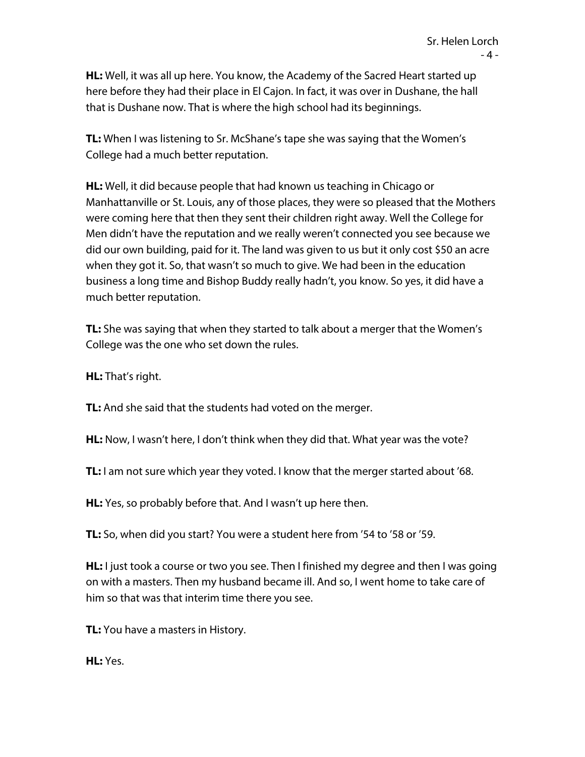**HL:** Well, it was all up here. You know, the Academy of the Sacred Heart started up here before they had their place in El Cajon. In fact, it was over in Dushane, the hall that is Dushane now. That is where the high school had its beginnings.

**TL:** When I was listening to Sr. McShane's tape she was saying that the Women's College had a much better reputation.

**HL:** Well, it did because people that had known us teaching in Chicago or Manhattanville or St. Louis, any of those places, they were so pleased that the Mothers were coming here that then they sent their children right away. Well the College for Men didn't have the reputation and we really weren't connected you see because we did our own building, paid for it. The land was given to us but it only cost \$50 an acre when they got it. So, that wasn't so much to give. We had been in the education business a long time and Bishop Buddy really hadn't, you know. So yes, it did have a much better reputation.

**TL:** She was saying that when they started to talk about a merger that the Women's College was the one who set down the rules.

**HL:** That's right.

**TL:** And she said that the students had voted on the merger.

**HL:** Now, I wasn't here, I don't think when they did that. What year was the vote?

**TL:** I am not sure which year they voted. I know that the merger started about '68.

**HL:** Yes, so probably before that. And I wasn't up here then.

**TL:** So, when did you start? You were a student here from '54 to '58 or '59.

**HL:** I just took a course or two you see. Then I finished my degree and then I was going on with a masters. Then my husband became ill. And so, I went home to take care of him so that was that interim time there you see.

**TL:** You have a masters in History.

**HL:** Yes.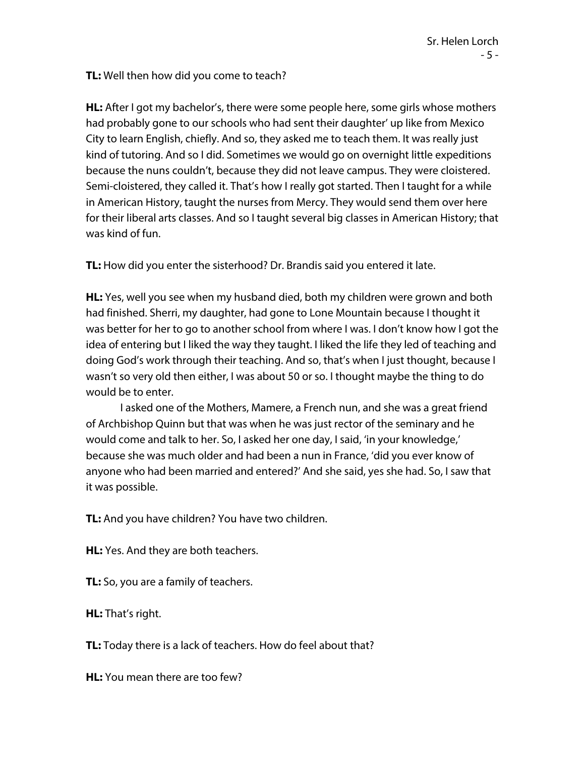**TL:** Well then how did you come to teach?

**HL:** After I got my bachelor's, there were some people here, some girls whose mothers had probably gone to our schools who had sent their daughter' up like from Mexico City to learn English, chiefly. And so, they asked me to teach them. It was really just kind of tutoring. And so I did. Sometimes we would go on overnight little expeditions because the nuns couldn't, because they did not leave campus. They were cloistered. Semi-cloistered, they called it. That's how I really got started. Then I taught for a while in American History, taught the nurses from Mercy. They would send them over here for their liberal arts classes. And so I taught several big classes in American History; that was kind of fun.

**TL:** How did you enter the sisterhood? Dr. Brandis said you entered it late.

**HL:** Yes, well you see when my husband died, both my children were grown and both had finished. Sherri, my daughter, had gone to Lone Mountain because I thought it was better for her to go to another school from where I was. I don't know how I got the idea of entering but I liked the way they taught. I liked the life they led of teaching and doing God's work through their teaching. And so, that's when I just thought, because I wasn't so very old then either, I was about 50 or so. I thought maybe the thing to do would be to enter.

I asked one of the Mothers, Mamere, a French nun, and she was a great friend of Archbishop Quinn but that was when he was just rector of the seminary and he would come and talk to her. So, I asked her one day, I said, 'in your knowledge,' because she was much older and had been a nun in France, 'did you ever know of anyone who had been married and entered?' And she said, yes she had. So, I saw that it was possible.

**TL:** And you have children? You have two children.

**HL:** Yes. And they are both teachers.

**TL:** So, you are a family of teachers.

**HL:** That's right.

**TL:** Today there is a lack of teachers. How do feel about that?

**HL:** You mean there are too few?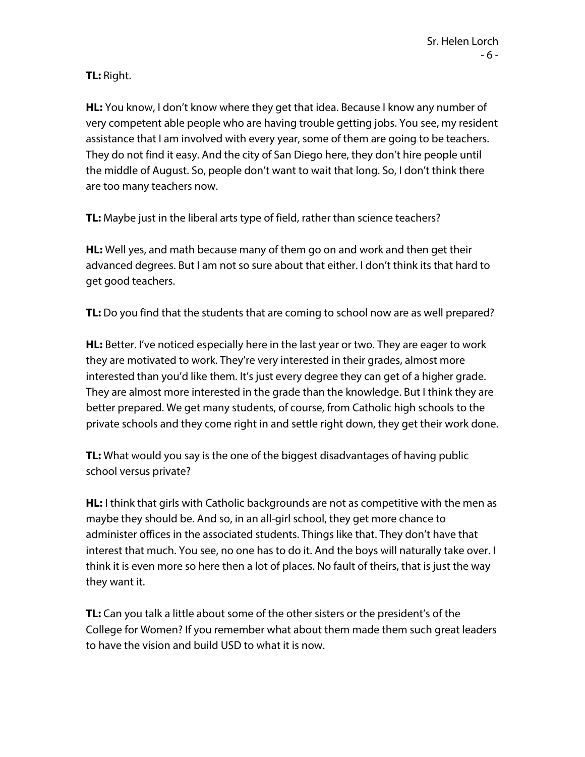## **TL:** Right.

**HL:** You know, I don't know where they get that idea. Because I know any number of very competent able people who are having trouble getting jobs. You see, my resident assistance that I am involved with every year, some of them are going to be teachers. They do not find it easy. And the city of San Diego here, they don't hire people until the middle of August. So, people don't want to wait that long. So, I don't think there are too many teachers now.

**TL:** Maybe just in the liberal arts type of field, rather than science teachers?

**HL:** Well yes, and math because many of them go on and work and then get their advanced degrees. But I am not so sure about that either. I don't think its that hard to get good teachers.

**TL:** Do you find that the students that are coming to school now are as well prepared?

**HL:** Better. I've noticed especially here in the last year or two. They are eager to work they are motivated to work. They're very interested in their grades, almost more interested than you'd like them. It's just every degree they can get of a higher grade. They are almost more interested in the grade than the knowledge. But I think they are better prepared. We get many students, of course, from Catholic high schools to the private schools and they come right in and settle right down, they get their work done.

**TL:** What would you say is the one of the biggest disadvantages of having public school versus private?

**HL:** I think that girls with Catholic backgrounds are not as competitive with the men as maybe they should be. And so, in an all-girl school, they get more chance to administer offices in the associated students. Things like that. They don't have that interest that much. You see, no one has to do it. And the boys will naturally take over. I think it is even more so here then a lot of places. No fault of theirs, that is just the way they want it.

**TL:** Can you talk a little about some of the other sisters or the president's of the College for Women? If you remember what about them made them such great leaders to have the vision and build USD to what it is now.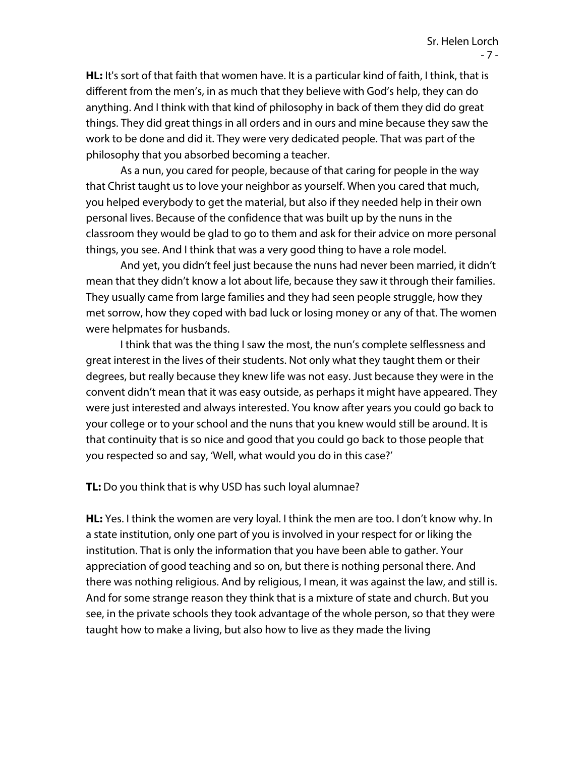**HL:** It's sort of that faith that women have. It is a particular kind of faith, I think, that is different from the men's, in as much that they believe with God's help, they can do anything. And I think with that kind of philosophy in back of them they did do great things. They did great things in all orders and in ours and mine because they saw the work to be done and did it. They were very dedicated people. That was part of the philosophy that you absorbed becoming a teacher.

As a nun, you cared for people, because of that caring for people in the way that Christ taught us to love your neighbor as yourself. When you cared that much, you helped everybody to get the material, but also if they needed help in their own personal lives. Because of the confidence that was built up by the nuns in the classroom they would be glad to go to them and ask for their advice on more personal things, you see. And I think that was a very good thing to have a role model.

And yet, you didn't feel just because the nuns had never been married, it didn't mean that they didn't know a lot about life, because they saw it through their families. They usually came from large families and they had seen people struggle, how they met sorrow, how they coped with bad luck or losing money or any of that. The women were helpmates for husbands.

I think that was the thing I saw the most, the nun's complete selflessness and great interest in the lives of their students. Not only what they taught them or their degrees, but really because they knew life was not easy. Just because they were in the convent didn't mean that it was easy outside, as perhaps it might have appeared. They were just interested and always interested. You know after years you could go back to your college or to your school and the nuns that you knew would still be around. It is that continuity that is so nice and good that you could go back to those people that you respected so and say, 'Well, what would you do in this case?'

**TL:** Do you think that is why USD has such loyal alumnae?

**HL:** Yes. I think the women are very loyal. I think the men are too. I don't know why. In a state institution, only one part of you is involved in your respect for or liking the institution. That is only the information that you have been able to gather. Your appreciation of good teaching and so on, but there is nothing personal there. And there was nothing religious. And by religious, I mean, it was against the law, and still is. And for some strange reason they think that is a mixture of state and church. But you see, in the private schools they took advantage of the whole person, so that they were taught how to make a living, but also how to live as they made the living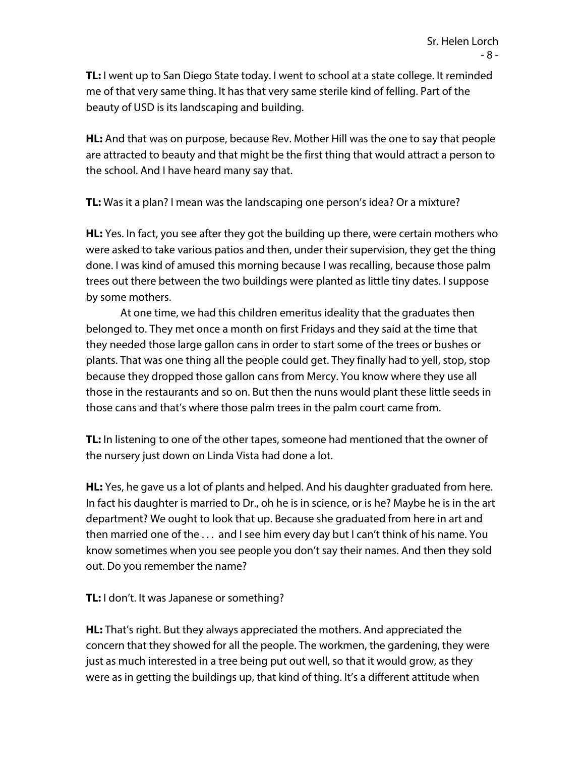**TL:** I went up to San Diego State today. I went to school at a state college. It reminded me of that very same thing. It has that very same sterile kind of felling. Part of the beauty of USD is its landscaping and building.

**HL:** And that was on purpose, because Rev. Mother Hill was the one to say that people are attracted to beauty and that might be the first thing that would attract a person to the school. And I have heard many say that.

**TL:** Was it a plan? I mean was the landscaping one person's idea? Or a mixture?

**HL:** Yes. In fact, you see after they got the building up there, were certain mothers who were asked to take various patios and then, under their supervision, they get the thing done. I was kind of amused this morning because I was recalling, because those palm trees out there between the two buildings were planted as little tiny dates. I suppose by some mothers.

At one time, we had this children emeritus ideality that the graduates then belonged to. They met once a month on first Fridays and they said at the time that they needed those large gallon cans in order to start some of the trees or bushes or plants. That was one thing all the people could get. They finally had to yell, stop, stop because they dropped those gallon cans from Mercy. You know where they use all those in the restaurants and so on. But then the nuns would plant these little seeds in those cans and that's where those palm trees in the palm court came from.

**TL:** In listening to one of the other tapes, someone had mentioned that the owner of the nursery just down on Linda Vista had done a lot.

**HL:** Yes, he gave us a lot of plants and helped. And his daughter graduated from here. In fact his daughter is married to Dr., oh he is in science, or is he? Maybe he is in the art department? We ought to look that up. Because she graduated from here in art and then married one of the . . . and I see him every day but I can't think of his name. You know sometimes when you see people you don't say their names. And then they sold out. Do you remember the name?

**TL:** I don't. It was Japanese or something?

**HL:** That's right. But they always appreciated the mothers. And appreciated the concern that they showed for all the people. The workmen, the gardening, they were just as much interested in a tree being put out well, so that it would grow, as they were as in getting the buildings up, that kind of thing. It's a different attitude when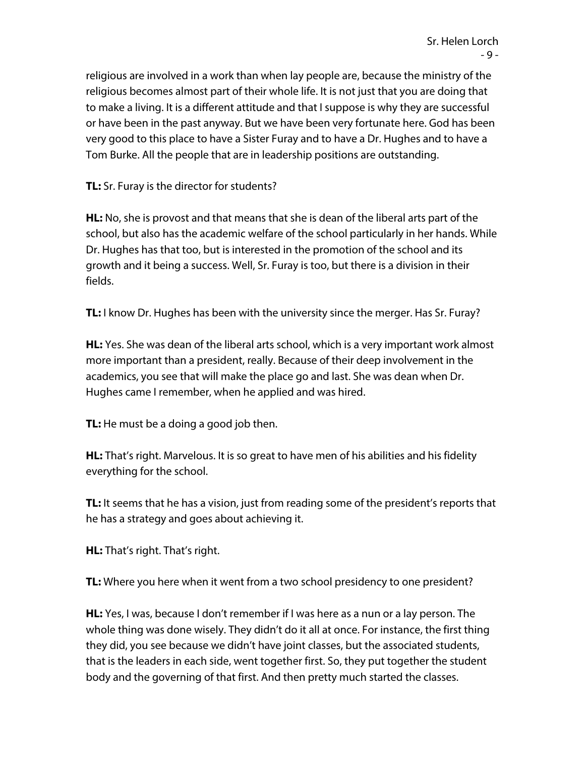religious are involved in a work than when lay people are, because the ministry of the religious becomes almost part of their whole life. It is not just that you are doing that to make a living. It is a different attitude and that I suppose is why they are successful or have been in the past anyway. But we have been very fortunate here. God has been very good to this place to have a Sister Furay and to have a Dr. Hughes and to have a Tom Burke. All the people that are in leadership positions are outstanding.

**TL:** Sr. Furay is the director for students?

**HL:** No, she is provost and that means that she is dean of the liberal arts part of the school, but also has the academic welfare of the school particularly in her hands. While Dr. Hughes has that too, but is interested in the promotion of the school and its growth and it being a success. Well, Sr. Furay is too, but there is a division in their fields.

**TL:** I know Dr. Hughes has been with the university since the merger. Has Sr. Furay?

**HL:** Yes. She was dean of the liberal arts school, which is a very important work almost more important than a president, really. Because of their deep involvement in the academics, you see that will make the place go and last. She was dean when Dr. Hughes came I remember, when he applied and was hired.

**TL:** He must be a doing a good job then.

**HL:** That's right. Marvelous. It is so great to have men of his abilities and his fidelity everything for the school.

**TL:** It seems that he has a vision, just from reading some of the president's reports that he has a strategy and goes about achieving it.

**HL:** That's right. That's right.

**TL:** Where you here when it went from a two school presidency to one president?

**HL:** Yes, I was, because I don't remember if I was here as a nun or a lay person. The whole thing was done wisely. They didn't do it all at once. For instance, the first thing they did, you see because we didn't have joint classes, but the associated students, that is the leaders in each side, went together first. So, they put together the student body and the governing of that first. And then pretty much started the classes.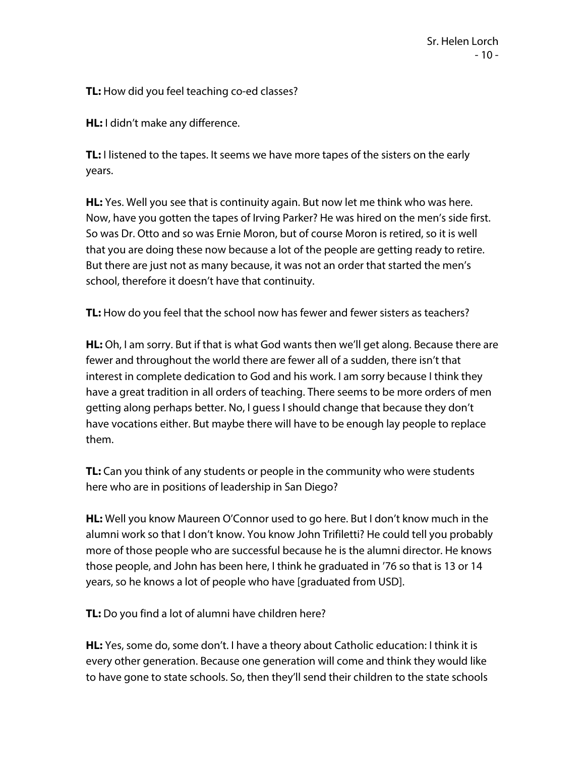**TL:** How did you feel teaching co-ed classes?

**HL:** I didn't make any difference.

**TL:** I listened to the tapes. It seems we have more tapes of the sisters on the early years.

**HL:** Yes. Well you see that is continuity again. But now let me think who was here. Now, have you gotten the tapes of Irving Parker? He was hired on the men's side first. So was Dr. Otto and so was Ernie Moron, but of course Moron is retired, so it is well that you are doing these now because a lot of the people are getting ready to retire. But there are just not as many because, it was not an order that started the men's school, therefore it doesn't have that continuity.

**TL:** How do you feel that the school now has fewer and fewer sisters as teachers?

**HL:** Oh, I am sorry. But if that is what God wants then we'll get along. Because there are fewer and throughout the world there are fewer all of a sudden, there isn't that interest in complete dedication to God and his work. I am sorry because I think they have a great tradition in all orders of teaching. There seems to be more orders of men getting along perhaps better. No, I guess I should change that because they don't have vocations either. But maybe there will have to be enough lay people to replace them.

**TL:** Can you think of any students or people in the community who were students here who are in positions of leadership in San Diego?

**HL:** Well you know Maureen O'Connor used to go here. But I don't know much in the alumni work so that I don't know. You know John Trifiletti? He could tell you probably more of those people who are successful because he is the alumni director. He knows those people, and John has been here, I think he graduated in '76 so that is 13 or 14 years, so he knows a lot of people who have [graduated from USD].

**TL:** Do you find a lot of alumni have children here?

**HL:** Yes, some do, some don't. I have a theory about Catholic education: I think it is every other generation. Because one generation will come and think they would like to have gone to state schools. So, then they'll send their children to the state schools